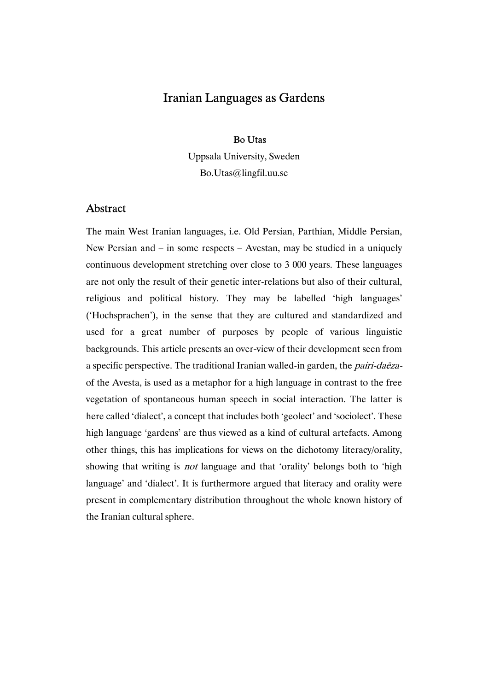### Bo Utas

Uppsala University, Sweden Bo.Utas@lingfil.uu.se

# Abstract

The main West Iranian languages, i.e. Old Persian, Parthian, Middle Persian, New Persian and – in some respects – Avestan, may be studied in a uniquely continuous development stretching over close to 3 000 years. These languages are not only the result of their genetic inter-relations but also of their cultural, religious and political history. They may be labelled 'high languages' ('Hochsprachen'), in the sense that they are cultured and standardized and used for a great number of purposes by people of various linguistic backgrounds. This article presents an over-view of their development seen from a specific perspective. The traditional Iranian walled-in garden, the pairi-daēzaof the Avesta, is used as a metaphor for a high language in contrast to the free vegetation of spontaneous human speech in social interaction. The latter is here called 'dialect', a concept that includes both 'geolect' and 'sociolect'. These high language 'gardens' are thus viewed as a kind of cultural artefacts. Among other things, this has implications for views on the dichotomy literacy/orality, showing that writing is *not* language and that 'orality' belongs both to 'high language' and 'dialect'. It is furthermore argued that literacy and orality were present in complementary distribution throughout the whole known history of the Iranian cultural sphere.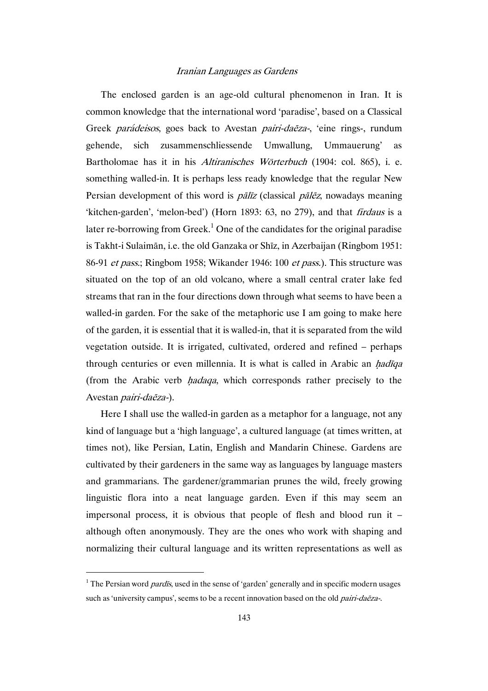The enclosed garden is an age-old cultural phenomenon in Iran. It is common knowledge that the international word 'paradise', based on a Classical Greek parádeisos, goes back to Avestan pairi-daēza-, 'eine rings-, rundum gehende, sich zusammenschliessende Umwallung, Ummauerung' as Bartholomae has it in his Altiranisches Wörterbuch (1904: col. 865), i. e. something walled-in. It is perhaps less ready knowledge that the regular New Persian development of this word is  $p\bar{a}l\bar{z}z$  (classical  $p\bar{a}l\bar{e}z$ , nowadays meaning 'kitchen-garden', 'melon-bed') (Horn 1893: 63, no 279), and that firdaus is a later re-borrowing from Greek.<sup>1</sup> One of the candidates for the original paradise is Takht-i Sulaimān, i.e. the old Ganzaka or Shīz, in Azerbaijan (Ringbom 1951: 86-91 et pass.; Ringbom 1958; Wikander 1946: 100 et pass.). This structure was situated on the top of an old volcano, where a small central crater lake fed streams that ran in the four directions down through what seems to have been a walled-in garden. For the sake of the metaphoric use I am going to make here of the garden, it is essential that it is walled-in, that it is separated from the wild vegetation outside. It is irrigated, cultivated, ordered and refined – perhaps through centuries or even millennia. It is what is called in Arabic an *hadiqa* (from the Arabic verb *hadaqa*, which corresponds rather precisely to the Avestan pairi-daēza-).

Here I shall use the walled-in garden as a metaphor for a language, not any kind of language but a 'high language', a cultured language (at times written, at times not), like Persian, Latin, English and Mandarin Chinese. Gardens are cultivated by their gardeners in the same way as languages by language masters and grammarians. The gardener/grammarian prunes the wild, freely growing linguistic flora into a neat language garden. Even if this may seem an impersonal process, it is obvious that people of flesh and blood run it – although often anonymously. They are the ones who work with shaping and normalizing their cultural language and its written representations as well as

<sup>&</sup>lt;sup>1</sup> The Persian word *pardis*, used in the sense of 'garden' generally and in specific modern usages such as 'university campus', seems to be a recent innovation based on the old *pairi-daeza-*.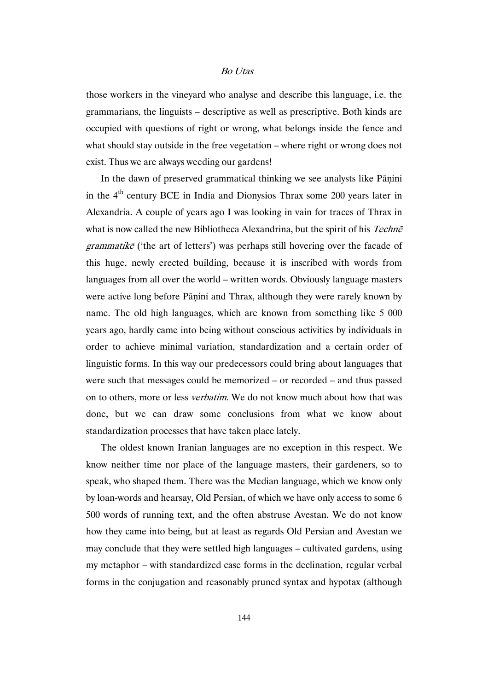those workers in the vineyard who analyse and describe this language, i.e. the grammarians, the linguists – descriptive as well as prescriptive. Both kinds are occupied with questions of right or wrong, what belongs inside the fence and what should stay outside in the free vegetation – where right or wrong does not exist. Thus we are always weeding our gardens!

In the dawn of preserved grammatical thinking we see analysts like Pānini in the 4<sup>th</sup> century BCE in India and Dionysios Thrax some 200 years later in Alexandria. A couple of years ago I was looking in vain for traces of Thrax in what is now called the new Bibliotheca Alexandrina, but the spirit of his Techne  $grammatik\tilde{e}$  ('the art of letters') was perhaps still hovering over the facade of this huge, newly erected building, because it is inscribed with words from languages from all over the world – written words. Obviously language masters were active long before Pāṇini and Thrax, although they were rarely known by name. The old high languages, which are known from something like 5 000 years ago, hardly came into being without conscious activities by individuals in order to achieve minimal variation, standardization and a certain order of linguistic forms. In this way our predecessors could bring about languages that were such that messages could be memorized – or recorded – and thus passed on to others, more or less verbatim. We do not know much about how that was done, but we can draw some conclusions from what we know about standardization processes that have taken place lately.

The oldest known Iranian languages are no exception in this respect. We know neither time nor place of the language masters, their gardeners, so to speak, who shaped them. There was the Median language, which we know only by loan-words and hearsay, Old Persian, of which we have only access to some 6 500 words of running text, and the often abstruse Avestan. We do not know how they came into being, but at least as regards Old Persian and Avestan we may conclude that they were settled high languages – cultivated gardens, using my metaphor – with standardized case forms in the declination, regular verbal forms in the conjugation and reasonably pruned syntax and hypotax (although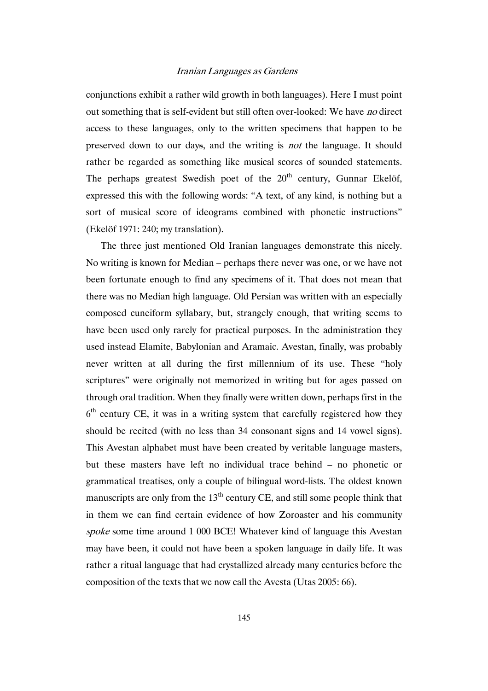conjunctions exhibit a rather wild growth in both languages). Here I must point out something that is self-evident but still often over-looked: We have no direct access to these languages, only to the written specimens that happen to be preserved down to our days, and the writing is not the language. It should rather be regarded as something like musical scores of sounded statements. The perhaps greatest Swedish poet of the  $20<sup>th</sup>$  century, Gunnar Ekelöf, expressed this with the following words: "A text, of any kind, is nothing but a sort of musical score of ideograms combined with phonetic instructions" (Ekelöf 1971: 240; my translation).

The three just mentioned Old Iranian languages demonstrate this nicely. No writing is known for Median – perhaps there never was one, or we have not been fortunate enough to find any specimens of it. That does not mean that there was no Median high language. Old Persian was written with an especially composed cuneiform syllabary, but, strangely enough, that writing seems to have been used only rarely for practical purposes. In the administration they used instead Elamite, Babylonian and Aramaic. Avestan, finally, was probably never written at all during the first millennium of its use. These "holy scriptures" were originally not memorized in writing but for ages passed on through oral tradition. When they finally were written down, perhaps first in the  $6<sup>th</sup>$  century CE, it was in a writing system that carefully registered how they should be recited (with no less than 34 consonant signs and 14 vowel signs). This Avestan alphabet must have been created by veritable language masters, but these masters have left no individual trace behind – no phonetic or grammatical treatises, only a couple of bilingual word-lists. The oldest known manuscripts are only from the  $13<sup>th</sup>$  century CE, and still some people think that in them we can find certain evidence of how Zoroaster and his community spoke some time around 1 000 BCE! Whatever kind of language this Avestan may have been, it could not have been a spoken language in daily life. It was rather a ritual language that had crystallized already many centuries before the composition of the texts that we now call the Avesta (Utas 2005: 66).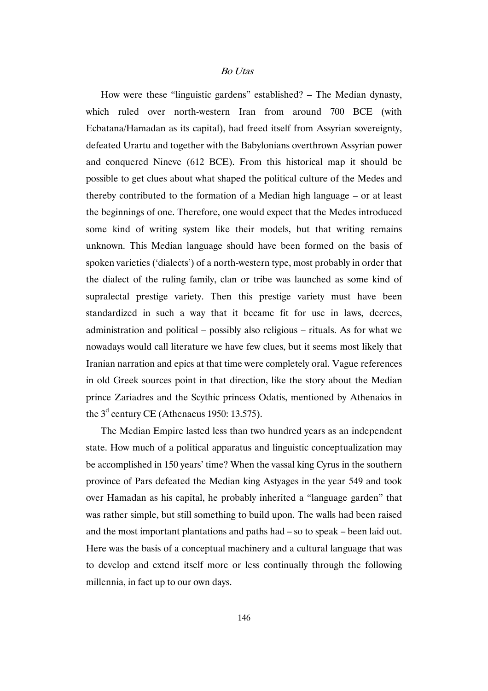How were these "linguistic gardens" established? – The Median dynasty, which ruled over north-western Iran from around 700 BCE (with Ecbatana/Hamadan as its capital), had freed itself from Assyrian sovereignty, defeated Urartu and together with the Babylonians overthrown Assyrian power and conquered Nineve (612 BCE). From this historical map it should be possible to get clues about what shaped the political culture of the Medes and thereby contributed to the formation of a Median high language – or at least the beginnings of one. Therefore, one would expect that the Medes introduced some kind of writing system like their models, but that writing remains unknown. This Median language should have been formed on the basis of spoken varieties ('dialects') of a north-western type, most probably in order that the dialect of the ruling family, clan or tribe was launched as some kind of supralectal prestige variety. Then this prestige variety must have been standardized in such a way that it became fit for use in laws, decrees, administration and political – possibly also religious – rituals. As for what we nowadays would call literature we have few clues, but it seems most likely that Iranian narration and epics at that time were completely oral. Vague references in old Greek sources point in that direction, like the story about the Median prince Zariadres and the Scythic princess Odatis, mentioned by Athenaios in the  $3<sup>d</sup>$  century CE (Athenaeus 1950: 13.575).

The Median Empire lasted less than two hundred years as an independent state. How much of a political apparatus and linguistic conceptualization may be accomplished in 150 years' time? When the vassal king Cyrus in the southern province of Pars defeated the Median king Astyages in the year 549 and took over Hamadan as his capital, he probably inherited a "language garden" that was rather simple, but still something to build upon. The walls had been raised and the most important plantations and paths had – so to speak – been laid out. Here was the basis of a conceptual machinery and a cultural language that was to develop and extend itself more or less continually through the following millennia, in fact up to our own days.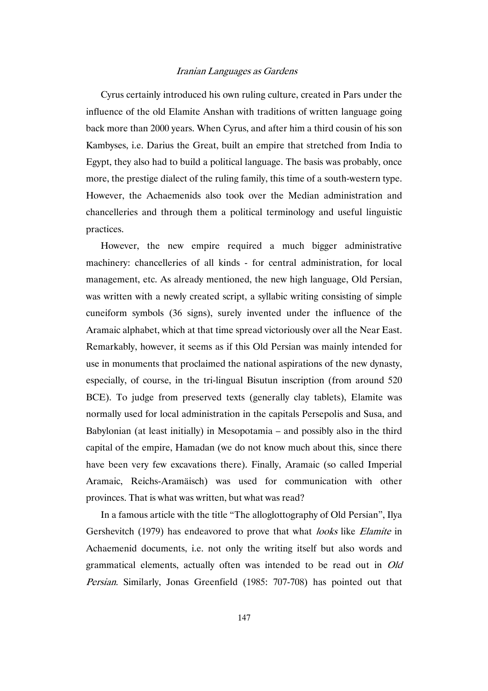Cyrus certainly introduced his own ruling culture, created in Pars under the influence of the old Elamite Anshan with traditions of written language going back more than 2000 years. When Cyrus, and after him a third cousin of his son Kambyses, i.e. Darius the Great, built an empire that stretched from India to Egypt, they also had to build a political language. The basis was probably, once more, the prestige dialect of the ruling family, this time of a south-western type. However, the Achaemenids also took over the Median administration and chancelleries and through them a political terminology and useful linguistic practices.

However, the new empire required a much bigger administrative machinery: chancelleries of all kinds - for central administration, for local management, etc. As already mentioned, the new high language, Old Persian, was written with a newly created script, a syllabic writing consisting of simple cuneiform symbols (36 signs), surely invented under the influence of the Aramaic alphabet, which at that time spread victoriously over all the Near East. Remarkably, however, it seems as if this Old Persian was mainly intended for use in monuments that proclaimed the national aspirations of the new dynasty, especially, of course, in the tri-lingual Bisutun inscription (from around 520 BCE). To judge from preserved texts (generally clay tablets), Elamite was normally used for local administration in the capitals Persepolis and Susa, and Babylonian (at least initially) in Mesopotamia – and possibly also in the third capital of the empire, Hamadan (we do not know much about this, since there have been very few excavations there). Finally, Aramaic (so called Imperial Aramaic, Reichs-Aramäisch) was used for communication with other provinces. That is what was written, but what was read?

In a famous article with the title "The alloglottography of Old Persian", Ilya Gershevitch (1979) has endeavored to prove that what *looks* like *Elamite* in Achaemenid documents, i.e. not only the writing itself but also words and grammatical elements, actually often was intended to be read out in Old Persian. Similarly, Jonas Greenfield (1985: 707-708) has pointed out that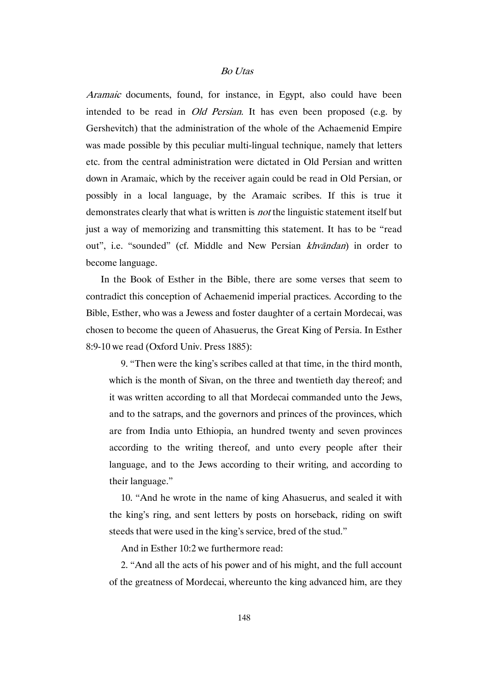Aramaic documents, found, for instance, in Egypt, also could have been intended to be read in *Old Persian*. It has even been proposed (e.g. by Gershevitch) that the administration of the whole of the Achaemenid Empire was made possible by this peculiar multi-lingual technique, namely that letters etc. from the central administration were dictated in Old Persian and written down in Aramaic, which by the receiver again could be read in Old Persian, or possibly in a local language, by the Aramaic scribes. If this is true it demonstrates clearly that what is written is not the linguistic statement itself but just a way of memorizing and transmitting this statement. It has to be "read out", i.e. "sounded" (cf. Middle and New Persian khvāndan) in order to become language.

In the Book of Esther in the Bible, there are some verses that seem to contradict this conception of Achaemenid imperial practices. According to the Bible, Esther, who was a Jewess and foster daughter of a certain Mordecai, was chosen to become the queen of Ahasuerus, the Great King of Persia. In Esther 8:9-10 we read (Oxford Univ. Press 1885):

9. "Then were the king's scribes called at that time, in the third month, which is the month of Sivan, on the three and twentieth day thereof; and it was written according to all that Mordecai commanded unto the Jews, and to the satraps, and the governors and princes of the provinces, which are from India unto Ethiopia, an hundred twenty and seven provinces according to the writing thereof, and unto every people after their language, and to the Jews according to their writing, and according to their language."

10. "And he wrote in the name of king Ahasuerus, and sealed it with the king's ring, and sent letters by posts on horseback, riding on swift steeds that were used in the king's service, bred of the stud."

And in Esther 10:2 we furthermore read:

2. "And all the acts of his power and of his might, and the full account of the greatness of Mordecai, whereunto the king advanced him, are they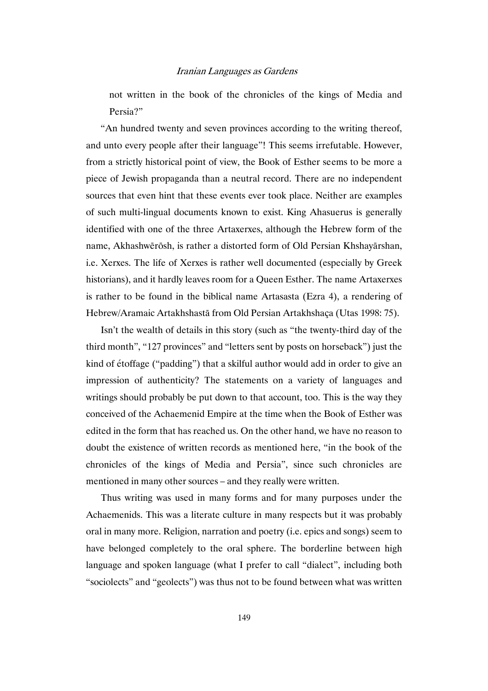not written in the book of the chronicles of the kings of Media and Persia?"

"An hundred twenty and seven provinces according to the writing thereof, and unto every people after their language"! This seems irrefutable. However, from a strictly historical point of view, the Book of Esther seems to be more a piece of Jewish propaganda than a neutral record. There are no independent sources that even hint that these events ever took place. Neither are examples of such multi-lingual documents known to exist. King Ahasuerus is generally identified with one of the three Artaxerxes, although the Hebrew form of the name, Akhashwērōsh, is rather a distorted form of Old Persian Khshayārshan, i.e. Xerxes. The life of Xerxes is rather well documented (especially by Greek historians), and it hardly leaves room for a Queen Esther. The name Artaxerxes is rather to be found in the biblical name Artasasta (Ezra 4), a rendering of Hebrew/Aramaic Artakhshastā from Old Persian Artakhshaça (Utas 1998: 75).

Isn't the wealth of details in this story (such as "the twenty-third day of the third month", "127 provinces" and "letters sent by posts on horseback") just the kind of étoffage ("padding") that a skilful author would add in order to give an impression of authenticity? The statements on a variety of languages and writings should probably be put down to that account, too. This is the way they conceived of the Achaemenid Empire at the time when the Book of Esther was edited in the form that has reached us. On the other hand, we have no reason to doubt the existence of written records as mentioned here, "in the book of the chronicles of the kings of Media and Persia", since such chronicles are mentioned in many other sources – and they really were written.

Thus writing was used in many forms and for many purposes under the Achaemenids. This was a literate culture in many respects but it was probably oral in many more. Religion, narration and poetry (i.e. epics and songs) seem to have belonged completely to the oral sphere. The borderline between high language and spoken language (what I prefer to call "dialect", including both "sociolects" and "geolects") was thus not to be found between what was written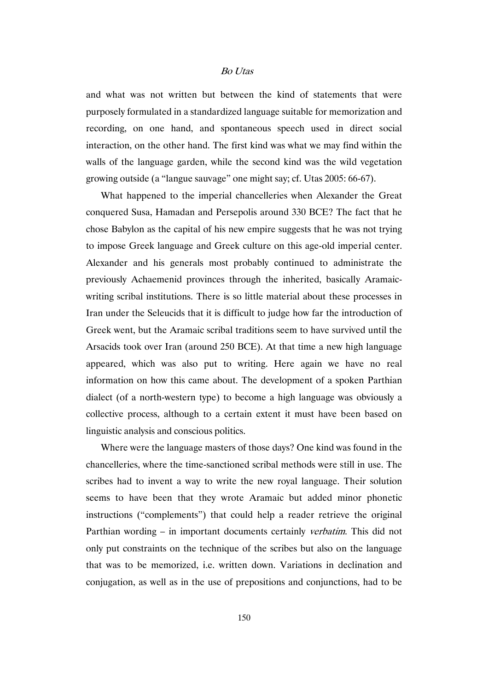and what was not written but between the kind of statements that were purposely formulated in a standardized language suitable for memorization and recording, on one hand, and spontaneous speech used in direct social interaction, on the other hand. The first kind was what we may find within the walls of the language garden, while the second kind was the wild vegetation growing outside (a "langue sauvage" one might say; cf. Utas 2005: 66-67).

What happened to the imperial chancelleries when Alexander the Great conquered Susa, Hamadan and Persepolis around 330 BCE? The fact that he chose Babylon as the capital of his new empire suggests that he was not trying to impose Greek language and Greek culture on this age-old imperial center. Alexander and his generals most probably continued to administrate the previously Achaemenid provinces through the inherited, basically Aramaicwriting scribal institutions. There is so little material about these processes in Iran under the Seleucids that it is difficult to judge how far the introduction of Greek went, but the Aramaic scribal traditions seem to have survived until the Arsacids took over Iran (around 250 BCE). At that time a new high language appeared, which was also put to writing. Here again we have no real information on how this came about. The development of a spoken Parthian dialect (of a north-western type) to become a high language was obviously a collective process, although to a certain extent it must have been based on linguistic analysis and conscious politics.

Where were the language masters of those days? One kind was found in the chancelleries, where the time-sanctioned scribal methods were still in use. The scribes had to invent a way to write the new royal language. Their solution seems to have been that they wrote Aramaic but added minor phonetic instructions ("complements") that could help a reader retrieve the original Parthian wording – in important documents certainly *verbatim*. This did not only put constraints on the technique of the scribes but also on the language that was to be memorized, i.e. written down. Variations in declination and conjugation, as well as in the use of prepositions and conjunctions, had to be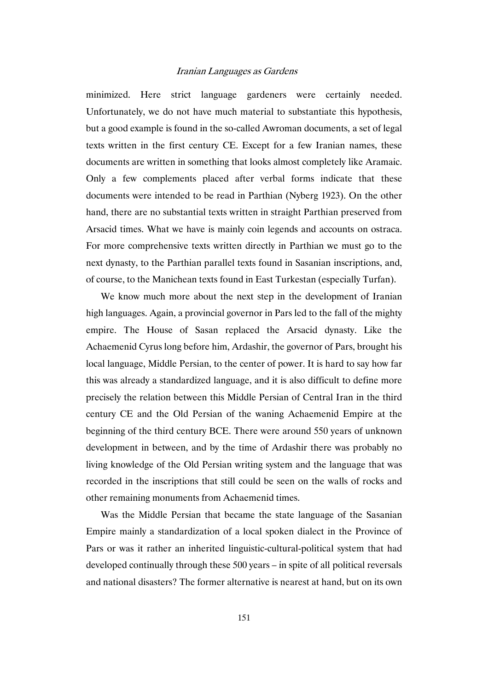minimized. Here strict language gardeners were certainly needed. Unfortunately, we do not have much material to substantiate this hypothesis, but a good example is found in the so-called Awroman documents, a set of legal texts written in the first century CE. Except for a few Iranian names, these documents are written in something that looks almost completely like Aramaic. Only a few complements placed after verbal forms indicate that these documents were intended to be read in Parthian (Nyberg 1923). On the other hand, there are no substantial texts written in straight Parthian preserved from Arsacid times. What we have is mainly coin legends and accounts on ostraca. For more comprehensive texts written directly in Parthian we must go to the next dynasty, to the Parthian parallel texts found in Sasanian inscriptions, and, of course, to the Manichean texts found in East Turkestan (especially Turfan).

We know much more about the next step in the development of Iranian high languages. Again, a provincial governor in Pars led to the fall of the mighty empire. The House of Sasan replaced the Arsacid dynasty. Like the Achaemenid Cyrus long before him, Ardashir, the governor of Pars, brought his local language, Middle Persian, to the center of power. It is hard to say how far this was already a standardized language, and it is also difficult to define more precisely the relation between this Middle Persian of Central Iran in the third century CE and the Old Persian of the waning Achaemenid Empire at the beginning of the third century BCE. There were around 550 years of unknown development in between, and by the time of Ardashir there was probably no living knowledge of the Old Persian writing system and the language that was recorded in the inscriptions that still could be seen on the walls of rocks and other remaining monuments from Achaemenid times.

Was the Middle Persian that became the state language of the Sasanian Empire mainly a standardization of a local spoken dialect in the Province of Pars or was it rather an inherited linguistic-cultural-political system that had developed continually through these 500 years – in spite of all political reversals and national disasters? The former alternative is nearest at hand, but on its own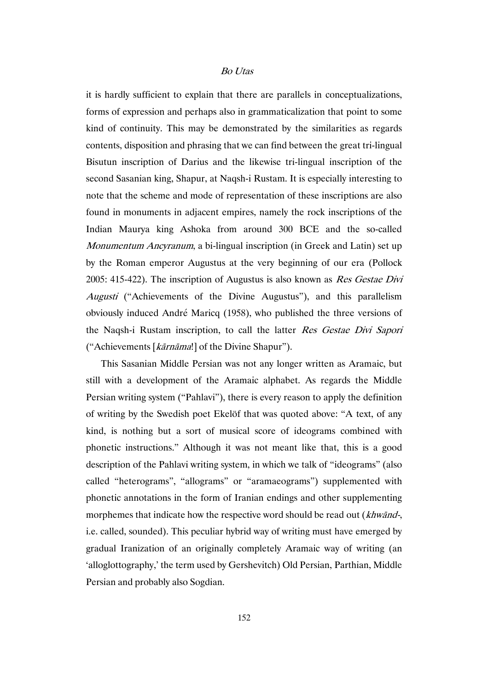it is hardly sufficient to explain that there are parallels in conceptualizations, forms of expression and perhaps also in grammaticalization that point to some kind of continuity. This may be demonstrated by the similarities as regards contents, disposition and phrasing that we can find between the great tri-lingual Bisutun inscription of Darius and the likewise tri-lingual inscription of the second Sasanian king, Shapur, at Naqsh-i Rustam. It is especially interesting to note that the scheme and mode of representation of these inscriptions are also found in monuments in adjacent empires, namely the rock inscriptions of the Indian Maurya king Ashoka from around 300 BCE and the so-called Monumentum Ancyranum, a bi-lingual inscription (in Greek and Latin) set up by the Roman emperor Augustus at the very beginning of our era (Pollock 2005: 415-422). The inscription of Augustus is also known as Res Gestae Divi Augusti ("Achievements of the Divine Augustus"), and this parallelism obviously induced André Maricq (1958), who published the three versions of the Naqsh-i Rustam inscription, to call the latter Res Gestae Divi Sapori ("Achievements [kārnāma!] of the Divine Shapur").

This Sasanian Middle Persian was not any longer written as Aramaic, but still with a development of the Aramaic alphabet. As regards the Middle Persian writing system ("Pahlavi"), there is every reason to apply the definition of writing by the Swedish poet Ekelöf that was quoted above: "A text, of any kind, is nothing but a sort of musical score of ideograms combined with phonetic instructions." Although it was not meant like that, this is a good description of the Pahlavi writing system, in which we talk of "ideograms" (also called "heterograms", "allograms" or "aramaeograms") supplemented with phonetic annotations in the form of Iranian endings and other supplementing morphemes that indicate how the respective word should be read out (khwand-, i.e. called, sounded). This peculiar hybrid way of writing must have emerged by gradual Iranization of an originally completely Aramaic way of writing (an 'alloglottography,' the term used by Gershevitch) Old Persian, Parthian, Middle Persian and probably also Sogdian.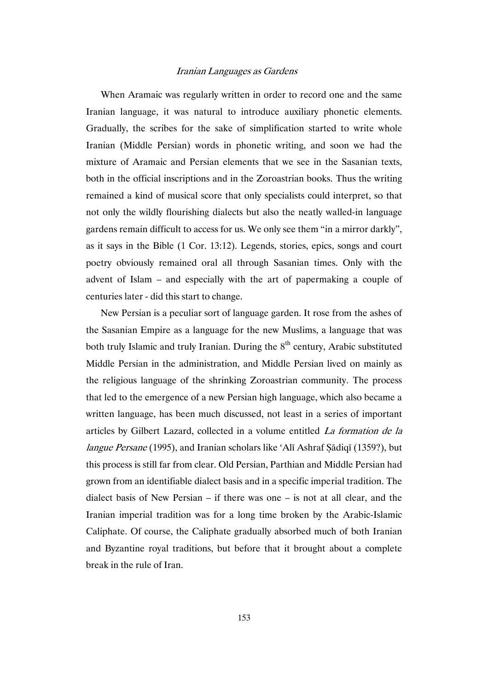When Aramaic was regularly written in order to record one and the same Iranian language, it was natural to introduce auxiliary phonetic elements. Gradually, the scribes for the sake of simplification started to write whole Iranian (Middle Persian) words in phonetic writing, and soon we had the mixture of Aramaic and Persian elements that we see in the Sasanian texts, both in the official inscriptions and in the Zoroastrian books. Thus the writing remained a kind of musical score that only specialists could interpret, so that not only the wildly flourishing dialects but also the neatly walled-in language gardens remain difficult to access for us. We only see them "in a mirror darkly", as it says in the Bible (1 Cor. 13:12). Legends, stories, epics, songs and court poetry obviously remained oral all through Sasanian times. Only with the advent of Islam – and especially with the art of papermaking a couple of centuries later - did this start to change.

New Persian is a peculiar sort of language garden. It rose from the ashes of the Sasanian Empire as a language for the new Muslims, a language that was both truly Islamic and truly Iranian. During the  $8<sup>th</sup>$  century, Arabic substituted Middle Persian in the administration, and Middle Persian lived on mainly as the religious language of the shrinking Zoroastrian community. The process that led to the emergence of a new Persian high language, which also became a written language, has been much discussed, not least in a series of important articles by Gilbert Lazard, collected in a volume entitled La formation de la langue Persane (1995), and Iranian scholars like 'Alī Ashraf Ṣādiqī (1359?), but this process is still far from clear. Old Persian, Parthian and Middle Persian had grown from an identifiable dialect basis and in a specific imperial tradition. The dialect basis of New Persian – if there was one – is not at all clear, and the Iranian imperial tradition was for a long time broken by the Arabic-Islamic Caliphate. Of course, the Caliphate gradually absorbed much of both Iranian and Byzantine royal traditions, but before that it brought about a complete break in the rule of Iran.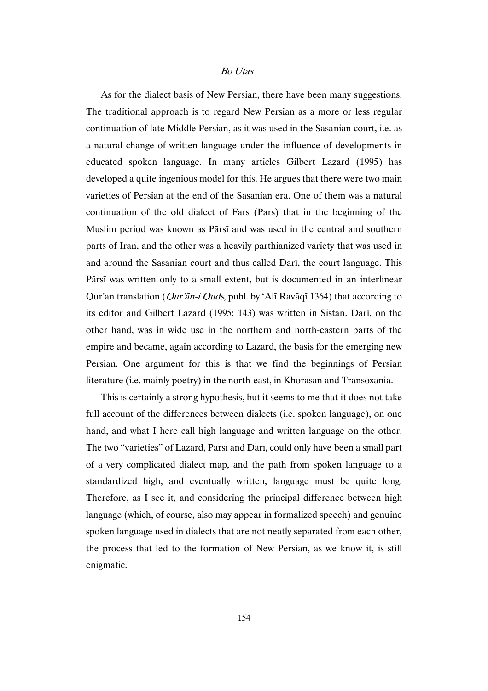As for the dialect basis of New Persian, there have been many suggestions. The traditional approach is to regard New Persian as a more or less regular continuation of late Middle Persian, as it was used in the Sasanian court, i.e. as a natural change of written language under the influence of developments in educated spoken language. In many articles Gilbert Lazard (1995) has developed a quite ingenious model for this. He argues that there were two main varieties of Persian at the end of the Sasanian era. One of them was a natural continuation of the old dialect of Fars (Pars) that in the beginning of the Muslim period was known as Pārsī and was used in the central and southern parts of Iran, and the other was a heavily parthianized variety that was used in and around the Sasanian court and thus called Darī, the court language. This Pārsī was written only to a small extent, but is documented in an interlinear Qur'an translation (Qur'ān-i Quds, publ. by 'Alī Ravāqī 1364) that according to its editor and Gilbert Lazard (1995: 143) was written in Sistan. Darī, on the other hand, was in wide use in the northern and north-eastern parts of the empire and became, again according to Lazard, the basis for the emerging new Persian. One argument for this is that we find the beginnings of Persian literature (i.e. mainly poetry) in the north-east, in Khorasan and Transoxania.

This is certainly a strong hypothesis, but it seems to me that it does not take full account of the differences between dialects (i.e. spoken language), on one hand, and what I here call high language and written language on the other. The two "varieties" of Lazard, Pārsī and Darī, could only have been a small part of a very complicated dialect map, and the path from spoken language to a standardized high, and eventually written, language must be quite long. Therefore, as I see it, and considering the principal difference between high language (which, of course, also may appear in formalized speech) and genuine spoken language used in dialects that are not neatly separated from each other, the process that led to the formation of New Persian, as we know it, is still enigmatic.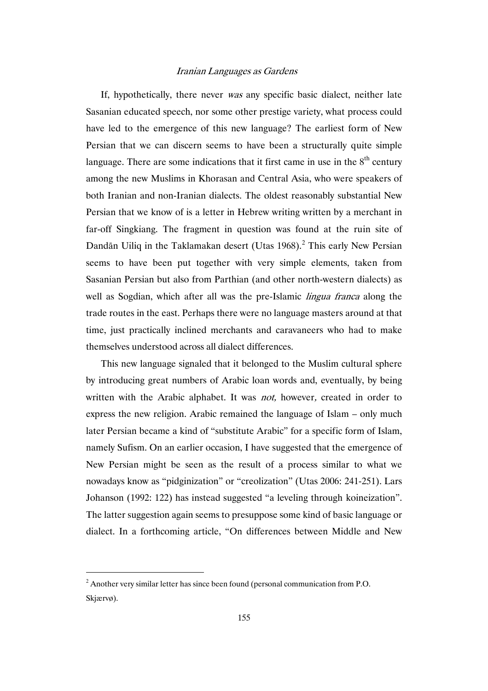If, hypothetically, there never was any specific basic dialect, neither late Sasanian educated speech, nor some other prestige variety, what process could have led to the emergence of this new language? The earliest form of New Persian that we can discern seems to have been a structurally quite simple language. There are some indications that it first came in use in the  $8<sup>th</sup>$  century among the new Muslims in Khorasan and Central Asia, who were speakers of both Iranian and non-Iranian dialects. The oldest reasonably substantial New Persian that we know of is a letter in Hebrew writing written by a merchant in far-off Singkiang. The fragment in question was found at the ruin site of Dandān Uiliq in the Taklamakan desert (Utas 1968).<sup>2</sup> This early New Persian seems to have been put together with very simple elements, taken from Sasanian Persian but also from Parthian (and other north-western dialects) as well as Sogdian, which after all was the pre-Islamic *lingua franca* along the trade routes in the east. Perhaps there were no language masters around at that time, just practically inclined merchants and caravaneers who had to make themselves understood across all dialect differences.

This new language signaled that it belonged to the Muslim cultural sphere by introducing great numbers of Arabic loan words and, eventually, by being written with the Arabic alphabet. It was *not*, however, created in order to express the new religion. Arabic remained the language of Islam – only much later Persian became a kind of "substitute Arabic" for a specific form of Islam, namely Sufism. On an earlier occasion, I have suggested that the emergence of New Persian might be seen as the result of a process similar to what we nowadays know as "pidginization" or "creolization" (Utas 2006: 241-251). Lars Johanson (1992: 122) has instead suggested "a leveling through koineization". The latter suggestion again seems to presuppose some kind of basic language or dialect. In a forthcoming article, "On differences between Middle and New

 $2^2$  Another very similar letter has since been found (personal communication from P.O. Skjærvø).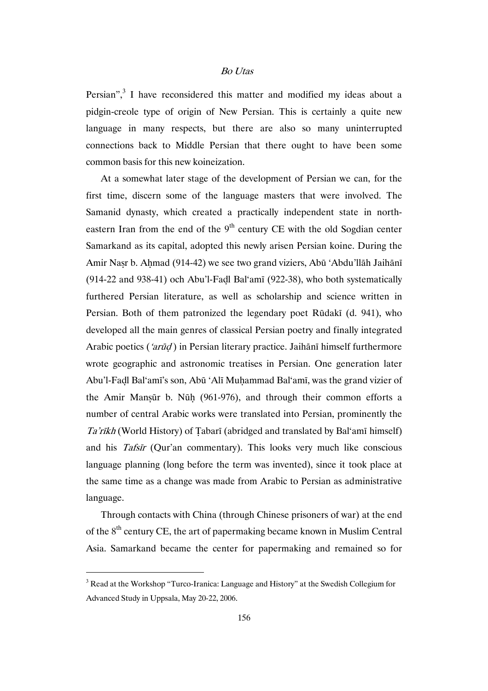Persian",<sup>3</sup> I have reconsidered this matter and modified my ideas about a pidgin-creole type of origin of New Persian. This is certainly a quite new language in many respects, but there are also so many uninterrupted connections back to Middle Persian that there ought to have been some common basis for this new koineization.

At a somewhat later stage of the development of Persian we can, for the first time, discern some of the language masters that were involved. The Samanid dynasty, which created a practically independent state in northeastern Iran from the end of the  $9<sup>th</sup>$  century CE with the old Sogdian center Samarkand as its capital, adopted this newly arisen Persian koine. During the Amir Naṣr b. Aḥmad (914-42) we see two grand viziers, Abū 'Abdu'llāh Jaihānī (914-22 and 938-41) och Abu'l-Faḍl Bal'amī (922-38), who both systematically furthered Persian literature, as well as scholarship and science written in Persian. Both of them patronized the legendary poet Rūdakī (d. 941), who developed all the main genres of classical Persian poetry and finally integrated Arabic poetics ('arūd) in Persian literary practice. Jaihānī himself furthermore wrote geographic and astronomic treatises in Persian. One generation later Abu'l-Faḍl Bal'amī's son, Abū 'Alī Muḥammad Bal'amī, was the grand vizier of the Amir Manṣūr b. Nūḥ (961-976), and through their common efforts a number of central Arabic works were translated into Persian, prominently the Ta'rīkh (World History) of Ṭabarī (abridged and translated by Bal'amī himself) and his Tafsīr (Qur'an commentary). This looks very much like conscious language planning (long before the term was invented), since it took place at the same time as a change was made from Arabic to Persian as administrative language.

Through contacts with China (through Chinese prisoners of war) at the end of the  $8<sup>th</sup>$  century CE, the art of papermaking became known in Muslim Central Asia. Samarkand became the center for papermaking and remained so for

<sup>&</sup>lt;sup>3</sup> Read at the Workshop "Turco-Iranica: Language and History" at the Swedish Collegium for Advanced Study in Uppsala, May 20-22, 2006.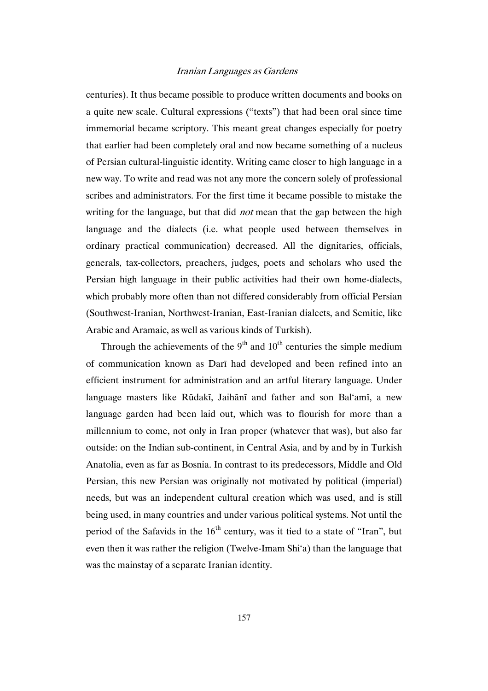centuries). It thus became possible to produce written documents and books on a quite new scale. Cultural expressions ("texts") that had been oral since time immemorial became scriptory. This meant great changes especially for poetry that earlier had been completely oral and now became something of a nucleus of Persian cultural-linguistic identity. Writing came closer to high language in a new way. To write and read was not any more the concern solely of professional scribes and administrators. For the first time it became possible to mistake the writing for the language, but that did *not* mean that the gap between the high language and the dialects (i.e. what people used between themselves in ordinary practical communication) decreased. All the dignitaries, officials, generals, tax-collectors, preachers, judges, poets and scholars who used the Persian high language in their public activities had their own home-dialects, which probably more often than not differed considerably from official Persian (Southwest-Iranian, Northwest-Iranian, East-Iranian dialects, and Semitic, like Arabic and Aramaic, as well as various kinds of Turkish).

Through the achievements of the  $9<sup>th</sup>$  and  $10<sup>th</sup>$  centuries the simple medium of communication known as Darī had developed and been refined into an efficient instrument for administration and an artful literary language. Under language masters like Rūdakī, Jaihānī and father and son Bal'amī, a new language garden had been laid out, which was to flourish for more than a millennium to come, not only in Iran proper (whatever that was), but also far outside: on the Indian sub-continent, in Central Asia, and by and by in Turkish Anatolia, even as far as Bosnia. In contrast to its predecessors, Middle and Old Persian, this new Persian was originally not motivated by political (imperial) needs, but was an independent cultural creation which was used, and is still being used, in many countries and under various political systems. Not until the period of the Safavids in the  $16<sup>th</sup>$  century, was it tied to a state of "Iran", but even then it was rather the religion (Twelve-Imam Shi'a) than the language that was the mainstay of a separate Iranian identity.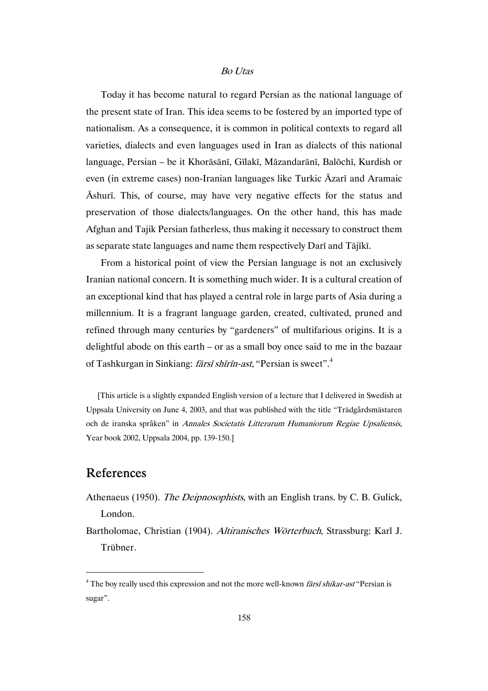Today it has become natural to regard Persian as the national language of the present state of Iran. This idea seems to be fostered by an imported type of nationalism. As a consequence, it is common in political contexts to regard all varieties, dialects and even languages used in Iran as dialects of this national language, Persian – be it Khorāsānī, Gīlakī, Māzandarānī, Balōchī, Kurdish or even (in extreme cases) non-Iranian languages like Turkic Āzarī and Aramaic Āshurī. This, of course, may have very negative effects for the status and preservation of those dialects/languages. On the other hand, this has made Afghan and Tajik Persian fatherless, thus making it necessary to construct them as separate state languages and name them respectively Darī and Tājīkī.

From a historical point of view the Persian language is not an exclusively Iranian national concern. It is something much wider. It is a cultural creation of an exceptional kind that has played a central role in large parts of Asia during a millennium. It is a fragrant language garden, created, cultivated, pruned and refined through many centuries by "gardeners" of multifarious origins. It is a delightful abode on this earth – or as a small boy once said to me in the bazaar of Tashkurgan in Sinkiang: fārsī shīrīn-ast, "Persian is sweet".<sup>4</sup>

[This article is a slightly expanded English version of a lecture that I delivered in Swedish at Uppsala University on June 4, 2003, and that was published with the title "Trädgårdsmästaren och de iranska språken" in Annales Societatis Litterarum Humaniorum Regiae Upsaliensis, Year book 2002, Uppsala 2004, pp. 139-150.]

# References

- Athenaeus (1950). *The Deipnosophists*, with an English trans. by C. B. Gulick, London.
- Bartholomae, Christian (1904). Altiranisches Wörterbuch, Strassburg: Karl J. Trübner.

 $4$  The boy really used this expression and not the more well-known *fārsī shikar-ast* "Persian is sugar".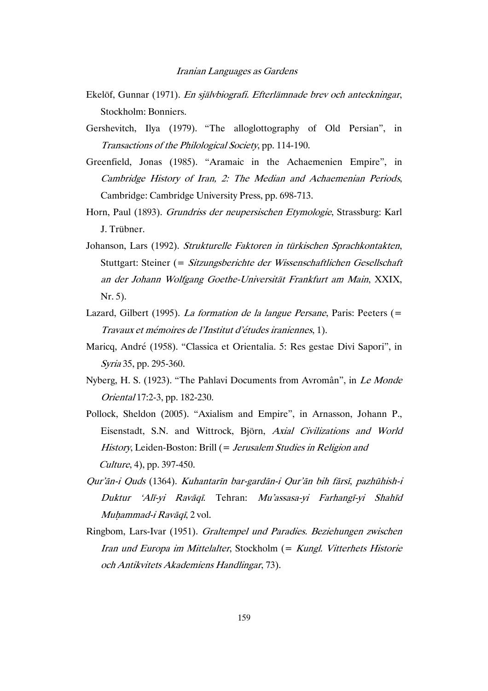- Ekelöf, Gunnar (1971). En självbiografi. Efterlämnade brev och anteckningar, Stockholm: Bonniers.
- Gershevitch, Ilya (1979). "The alloglottography of Old Persian", in Transactions of the Philological Society, pp. 114-190.
- Greenfield, Jonas (1985). "Aramaic in the Achaemenien Empire", in Cambridge History of Iran, 2: The Median and Achaemenian Periods, Cambridge: Cambridge University Press, pp. 698-713.
- Horn, Paul (1893). Grundriss der neupersischen Etymologie, Strassburg: Karl J. Trübner.
- Johanson, Lars (1992). Strukturelle Faktoren in türkischen Sprachkontakten, Stuttgart: Steiner (= Sitzungsberichte der Wissenschaftlichen Gesellschaft an der Johann Wolfgang Goethe-Universität Frankfurt am Main, XXIX, Nr. 5).
- Lazard, Gilbert (1995). La formation de la langue Persane, Paris: Peeters (= Travaux et mémoires de l'Institut d'études iraniennes, 1).
- Maricq, André (1958). "Classica et Orientalia. 5: Res gestae Divi Sapori", in Syria 35, pp. 295-360.
- Nyberg, H. S. (1923). "The Pahlavi Documents from Avromân", in Le Monde Oriental 17:2-3, pp. 182-230.
- Pollock, Sheldon (2005). "Axialism and Empire", in Arnasson, Johann P., Eisenstadt, S.N. and Wittrock, Björn, Axial Civilizations and World History, Leiden-Boston: Brill (= Jerusalem Studies in Religion and Culture, 4), pp. 397-450.
- Qur'ān-i Quds (1364). Kuhantarīn bar-gardān-i Qur'ān bih fārsī, pazhūhish-i Duktur 'Alī-yi Ravāqī. Tehran: Mu'assasa-yi Farhangī-yi Shahīd Muhammad-i Ravāqī, 2 vol.
- Ringbom, Lars-Ivar (1951). Graltempel und Paradies. Beziehungen zwischen Iran und Europa im Mittelalter, Stockholm (= Kungl. Vitterhets Historie och Antikvitets Akademiens Handlingar, 73).